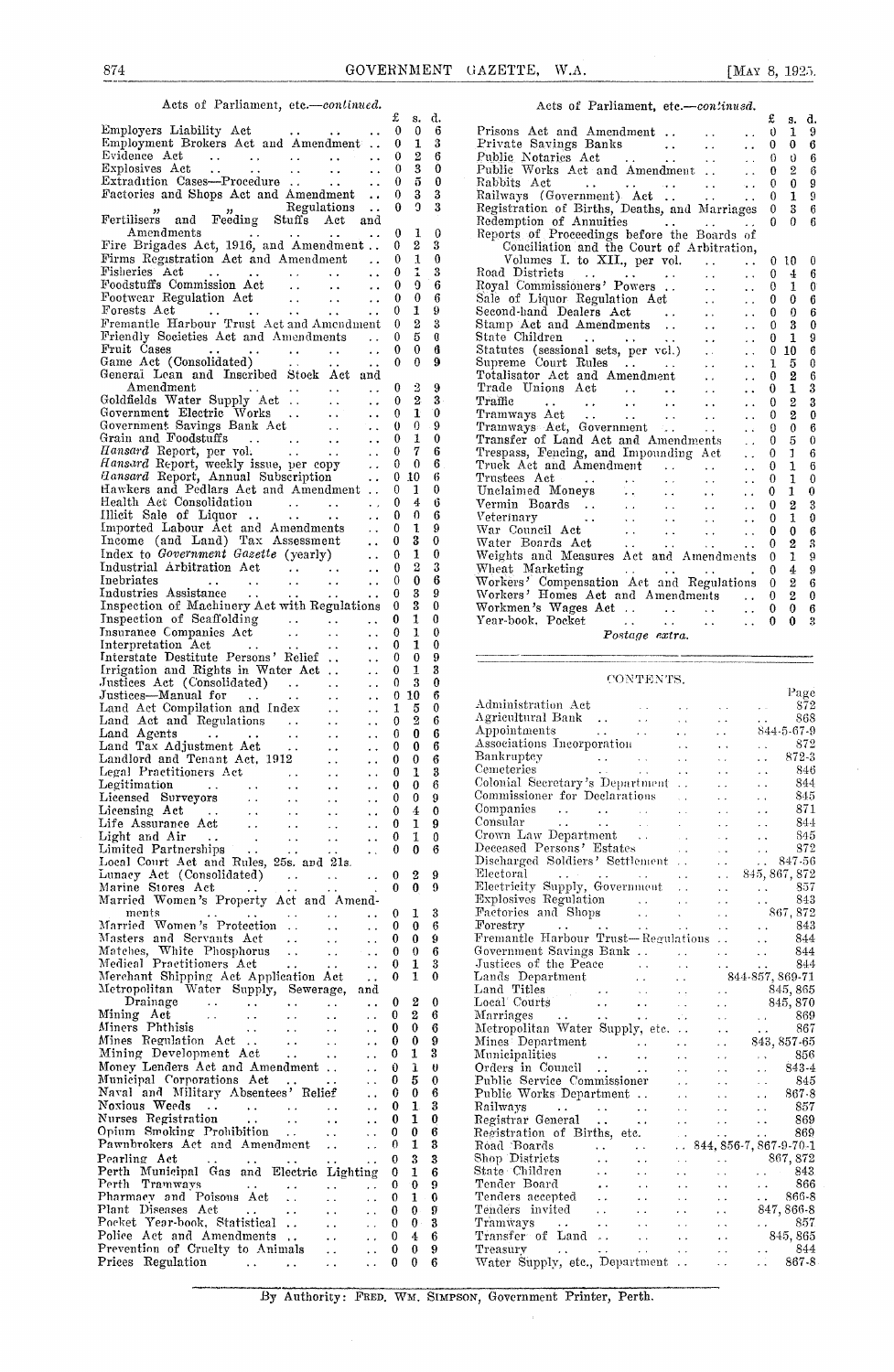| Employment Brokers Act and Amendment  0 1 3                                                                                                                                                                                                                                   |                                                          | s. a.                                      | - 6                               | £<br>d.<br><b>S.</b><br>$\mathbf{0}$<br>1<br>9                                                                                                                                                                                                                                                                         |
|-------------------------------------------------------------------------------------------------------------------------------------------------------------------------------------------------------------------------------------------------------------------------------|----------------------------------------------------------|--------------------------------------------|-----------------------------------|------------------------------------------------------------------------------------------------------------------------------------------------------------------------------------------------------------------------------------------------------------------------------------------------------------------------|
| Factories and Shops Act and Amendment  0                                                                                                                                                                                                                                      | $\mathbf{0}$                                             | 3 <sub>3</sub><br>$\Omega$                 | 3                                 | 0 <sub>9</sub><br>$\theta$<br>1 9<br>$\theta$<br>Registration of Births, Deaths, and Marriages 0<br>$3 \quad 6$                                                                                                                                                                                                        |
| " " Regulations<br>Fertilisers and Feeding Stuffs Act and<br>Fire Brigades Act, 1916, and Amendment                                                                                                                                                                           | $\bf{0}$<br>$\bf{0}$                                     | 1<br>$\boldsymbol{2}$                      | $\theta$<br>3                     | $\mathbf{0}$<br>$\Omega$<br>6<br>Reports of Proceedings before the Boards of<br>Conciliation and the Court of Arbitration,                                                                                                                                                                                             |
| Firms Registration Act and Amendment<br>$\sim$ $\sim$                                                                                                                                                                                                                         | $\theta$                                                 | $\mathbf{1}$<br>9.                         | $\theta$<br>3<br>$\boldsymbol{6}$ | Volumes I. to XII., per vol.<br>0100<br>$\sim 100$ km s $^{-1}$<br>Road Districts<br>Royal Commissioners<br>Powers<br>$\mathbf{0}$<br>$\pm$<br>- 6<br>$\theta$<br>-1<br>- 0                                                                                                                                            |
| $\begin{tabular}{l l l l l} \hline \textbf{Fourear Regulation Act} & . & . & . & . & 0 \\ \textbf{Forests Act} & . & . & . & . & . & . & 0 \\ \textbf{Fremantle HarborI Trust Act and Amendment} & 0 & \end{tabular}$                                                         |                                                          | $\bf{0}$<br>1<br>$\overline{2}$            | 6<br>9<br>$\boldsymbol{3}$        | Sale of Liquor Regulation Act<br>Second-hand Dealers Act<br>Stamp Act and Amendments<br>State Children<br>Statte Children<br>Statte Children<br>Statte Children<br>Statte Children<br>Statte Construction acts, per vcl.)<br><br>$\bf{0}$<br>$\theta$<br>- 6<br>$\bf{0}$<br>$\bf{0}$<br>6<br>-3<br>- 0<br>$\mathbf{0}$ |
| Friendly Societies Act and Amendments  0<br>Fruit Cases<br>Game Act (Consolidated)<br>$\begin{array}{ccc} 0 & 0 \\ 0 & 0 \end{array}$                                                                                                                                         |                                                          | 5                                          | $\theta$<br>6<br>-9               | $\mathbf{1}$<br>- 9<br>$\theta$<br>$0\quad10$<br>6<br>5<br>1<br>0                                                                                                                                                                                                                                                      |
| General Lean and Inscribed Stock Act and<br>Amendment<br>$\cdots$ $\cdots$ 0 2<br><b>Service Contractor</b>                                                                                                                                                                   | $\theta$                                                 | $2^{\circ}$                                | 9<br>-3                           | $\overline{2}$<br>$\mathbf{0}$<br>- 6<br>1<br>3<br>$\bf{0}$<br>$\mathbf{2}$                                                                                                                                                                                                                                            |
|                                                                                                                                                                                                                                                                               |                                                          | $\mathbf{1}$<br>0                          | 0<br>9<br>$\bf{0}$                | Trade Unions Act<br>Tramways Act<br>Tramways Act<br>Tramways Act<br>Tramways Act<br>Tramways Act<br>Tramways Act<br>Tramways Act<br>Tramways Act<br>Tramsfer of Land Act and Amendments<br>Transfer of Land Act<br>Transfer of Land Act<br>Transfer of<br>$2\quad 0$<br>$\theta$<br>6<br>$\overline{0}$                |
| Grain and Foodstuffs<br>Hansard Report, per vol.<br>Hansard Report, weekly issue, per copy<br>Hansard Report, Weekly issue, per copy<br>Hansard Report, Annual Subscription<br>Hawkers and Pedlars Act and Amendment  0 1                                                     |                                                          |                                            | 6<br>-6<br>-6<br>0                | $\mathbf{I}$<br>-6<br>$\mathbf{1}$<br>- 6<br>$\mathbf{1}$<br>$\overline{0}$                                                                                                                                                                                                                                            |
|                                                                                                                                                                                                                                                                               |                                                          |                                            | 6<br>6<br>9                       | $\mathbf{1}$<br>$\boldsymbol{0}$<br>$\overline{2}$<br>1<br>- 0                                                                                                                                                                                                                                                         |
| Income (and Land) Tax Assessment  0                                                                                                                                                                                                                                           |                                                          | 3<br>1<br>$\boldsymbol{2}$                 | 0<br>$\bf{0}$<br>3                | $\bf{0}$<br>6<br>2<br>$\mathbf{1}$<br>$^{\circ}$<br>Wheat Marketing  0 4 9                                                                                                                                                                                                                                             |
| Inebriates 0<br>Industries Assistance 0<br>Inspection of Machinery Act with Regulations 0                                                                                                                                                                                     |                                                          | $\theta$<br>3<br>3                         | 6<br>9<br>$\theta$                | Workers' Compensation Act and Regulations 0 2 6<br>Workers' Homes Act and Amendments  0 2 0<br>Workmen's Wages Act     0 0 6                                                                                                                                                                                           |
| Inspection of Scaffolding<br>Insurance Companies Act<br>Insurance Companies Act<br>$\cdots$ $\cdots$ $\cdots$ 0 1<br>Interpretation Act<br>Interstate Destitute Persons' Relief<br>$\cdots$ 0 0<br>Irrigation and Rights in Water Act<br>$\cdots$ 0 1<br>Irriga               |                                                          | $\mathbf{1}$                               | $\bf{0}$<br>$\theta$<br>$\bf{0}$  | $\cdots$ $\cdots$ $\cdots$ 0 0 3<br>Year-book, Pocket<br>Postage extra.                                                                                                                                                                                                                                                |
|                                                                                                                                                                                                                                                                               |                                                          | 3                                          | 9<br>3<br>$\bf{0}$                | CONTENTS.                                                                                                                                                                                                                                                                                                              |
| $\ldots$ 0 10                                                                                                                                                                                                                                                                 | $\mathbf{1}$                                             | 5<br>$\overline{2}$                        | 6<br>$\bf{0}$<br>- 6              | Page<br>$\ldots$ 872                                                                                                                                                                                                                                                                                                   |
|                                                                                                                                                                                                                                                                               |                                                          | $0\quad 0\quad 6$                          | 6<br>6                            | Administration Act<br>Agricultural Bank<br>Agricultural Bank<br>Appointments<br>Appointments<br>Associations Incorporation<br>Associations Incorporation<br>S72<br>Celonial Secretary's Department<br>Colonial Secretary's Department<br>Colonial                                                                      |
|                                                                                                                                                                                                                                                                               |                                                          | $\ldots$ 0 1 3<br>$0 \quad 0 \quad 6$      | 9                                 | $\ldots$ 846<br>$\mathbf{1}$ , $\mathbf{1}$ , $\mathbf{1}$<br>-845<br>871                                                                                                                                                                                                                                              |
| $\mathbb{R}$<br>$\ldots$ 0                                                                                                                                                                                                                                                    |                                                          | $1\quad0$<br>0 <sub>6</sub>                | $\theta$<br>9                     | $\sim 10$<br>Consular , , ,<br>-844<br>Crown Law Department<br>845                                                                                                                                                                                                                                                     |
| Local Court Act and Rules, 25s. and 21s.<br>$\mathcal{L}_{\mathcal{A}}$<br>Lunacy Act (Consolidated)<br>Marine Stores Act                                                                                                                                                     | 0<br>$\bf{0}$<br>$\bf{0}$                                | 2<br>$\bf{0}$                              | 9<br>9                            | Deceased Persons' Estates<br>Discharged Soldiers' Settlement<br>Electroid<br>Electroid<br>S45, 867, 872<br>Electroid<br>Electroid<br>Electroid<br>Electroid<br>S57<br>The S45, 867, 872<br>The S45, 867, 872<br>The S45, 867, 872<br>The S45, 867, 872<br>                                                             |
| $\mathcal{L}^{\mathcal{L}}$ , and $\mathcal{L}^{\mathcal{L}}$ , and $\mathcal{L}^{\mathcal{L}}$ , and $\mathcal{L}^{\mathcal{L}}$<br>$\sim 10$<br>Married Women's Property Act and Amend-<br>ments<br>$\sim 100$ km s $^{-1}$<br>Married Women's Protection<br>$\sim 10^{-1}$ | $\theta$                                                 | 1                                          |                                   |                                                                                                                                                                                                                                                                                                                        |
| Masters and Servants Act<br>$\ddotsc$                                                                                                                                                                                                                                         |                                                          |                                            | 3                                 |                                                                                                                                                                                                                                                                                                                        |
|                                                                                                                                                                                                                                                                               | $\theta$<br>0<br>$\bf{0}$                                | 0<br>$\mathbf{0}$<br>$\mathbf{0}$          | 6<br>9<br>6                       | Fremantle Harbour Trust-Regulations<br>844<br>844                                                                                                                                                                                                                                                                      |
| Merchant Shipping Act Application Act<br>$\ddot{\phantom{a}}$ .<br>Metropolitan Water Supply, Sewerage, and                                                                                                                                                                   | $^{0}$<br>0                                              | 1<br>$\mathbf{1}$                          | 3<br>$\bf{0}$                     |                                                                                                                                                                                                                                                                                                                        |
| Drainage<br>$\sim$ $\sim$<br>Mining Act<br>$\sim 10^{-1}$<br>$\sim 10^{-1}$                                                                                                                                                                                                   | $\bf{0}$<br>$\bf{0}$<br>$\bf{0}$<br>$\bf{0}$             | $^{\circ}$<br>2<br>$\bf{0}$<br>$\bf{0}$    | $\bf{0}$<br>6<br>6<br>9           |                                                                                                                                                                                                                                                                                                                        |
| Miners Phthisis<br>Mines Regulation Act<br>Mining Development Act<br>$\sim 10^{-1}$<br>$\ddot{\phantom{0}}$<br>Money Lenders Act and Amendment<br>$\sim$ $\sim$<br>$\mathbf{u}^{\prime}$ and $\mathbf{u}^{\prime}$                                                            | 0<br>$\theta$<br>$\bf{0}$                                | 1<br>$\mathbf{I}$<br>5                     | 3<br>$\theta$<br>$\mathbf 0$      |                                                                                                                                                                                                                                                                                                                        |
| Municipal Corporations Act<br>Naval and Military Absentees' Relief<br>$\mathbf{A}$<br>Noxious Weeds<br>فتراد بتواريخه العبي<br>$\sim 10$<br>Nurses Registration<br>$\sim 10^{-1}$                                                                                             | 0<br>0<br>$\bf{0}$                                       | 0<br>$\mathbf{1}$<br>1                     | 6<br>3<br>0                       |                                                                                                                                                                                                                                                                                                                        |
| $\mathcal{L}^{\mathcal{L}}$ , where $\mathcal{L}^{\mathcal{L}}$ is the contribution of $\mathcal{L}^{\mathcal{L}}$<br>$\sim 10$<br>Pawnbrokers Act and Amendment<br>$\ddot{\phantom{1}}$ .                                                                                    | $\bf{0}$<br>$\theta$<br>$\bf{0}$                         | 0<br>1<br>3                                | 6<br>- 3<br>3                     |                                                                                                                                                                                                                                                                                                                        |
| Pearling Act<br>Perth Municipal Gas and Electric Lighting<br>$\sim 10^{-11}$<br>Pharmacy and Poisons Act<br><b>Contractor</b><br>$\ddot{\phantom{a}}$                                                                                                                         | $\mathbf{0}$<br>$\bf{0}$<br>$\theta$                     | 1<br>$\cdot$ 0<br>$1 \cdot 0$              | 6<br>-9                           |                                                                                                                                                                                                                                                                                                                        |
| Plant Diseases Act<br>$\sim$ $\sim$<br>Pocket Year-book, Statistical<br>$\sim 10^{-1}$<br>Police Act and Amendments<br>Prevention of Cruelty to Animals<br>Prices Regulation                                                                                                  | $\bf{0}$<br>$\mathbf{0}$<br>$\mathbf{0}$<br>$\mathbf{0}$ | 0.9<br>0 <sub>3</sub><br>4<br>$\mathbf{0}$ | -6<br>9                           | $\sim$ 857                                                                                                                                                                                                                                                                                                             |

| 874                                                                                                                                                                                                                                          |              |                |                  | GOVERNMENT GAZETTE, W.A.<br>[MAY 8, 1925.                                                                                                                 |                                            |
|----------------------------------------------------------------------------------------------------------------------------------------------------------------------------------------------------------------------------------------------|--------------|----------------|------------------|-----------------------------------------------------------------------------------------------------------------------------------------------------------|--------------------------------------------|
| Acts of Parliament, etc.-continued.                                                                                                                                                                                                          |              |                |                  | Acts of Parliament, etc.-continued.                                                                                                                       |                                            |
| Employers Liability Act $\begin{array}{ccc} & & \text{f} & \text{s} \\ \text{m} & \text{m} & \text{m} & \text{s} \end{array}$                                                                                                                | £            |                | s. d.            | £                                                                                                                                                         | s. d.                                      |
|                                                                                                                                                                                                                                              |              |                | - 6              | Prisons Act and Amendment<br>$\theta$                                                                                                                     | $1 \quad 9$                                |
| Employment Brokers Act and Amendment  0                                                                                                                                                                                                      |              | $\mathbf{1}$   | $\boldsymbol{3}$ | $\bf{0}$<br>$\sim 10^{-11}$                                                                                                                               | 0 <sub>6</sub>                             |
| Evidence Act<br>$\cdots$ 0                                                                                                                                                                                                                   |              | $\overline{2}$ | - 6<br>$\theta$  | Public Notaries Act<br>$\Omega$<br>$\sim 10^{-1}$                                                                                                         | 0 <sub>6</sub>                             |
| $\textit{Explosives Act} \quad \ldots \quad \ldots \quad \ldots \quad \ldots \quad \ldots \quad 0$<br>Extradition Cases-Procedure  0                                                                                                         |              | 3<br>5         | $\bf{0}$         | Public Works Act and Amendment<br>$\bf{0}$<br>$\sim 10^{-11}$                                                                                             | 2 <sub>6</sub>                             |
| Factories and Shops Act and Amendment  0                                                                                                                                                                                                     |              | 3              | 3                | $\theta$                                                                                                                                                  | 0 <sub>9</sub>                             |
|                                                                                                                                                                                                                                              |              | $\Omega$       | 3                | $\theta$<br>$\theta$                                                                                                                                      | $1 \quad 9$<br>3 <sub>6</sub>              |
| wegulations . 0<br>Fertilisers and Feeding Stuffs Act and                                                                                                                                                                                    |              |                |                  | Registration of Births, Deaths, and Marriages<br>$\Omega$                                                                                                 | 0<br>6                                     |
| $A$ mend $m$ ents<br>$\cdots$ $\cdots$ $\cdots$ $\cdots$ 0                                                                                                                                                                                   |              | 1              | $\theta$         | Redemption of Annuities<br>Reports of Proceedings before the Boards of                                                                                    |                                            |
| Fire Brigades Act, 1916, and Amendment 0 2                                                                                                                                                                                                   |              |                | 3                | Conciliation and the Court of Arbitration,                                                                                                                |                                            |
| Firms Registration Act and Amendment  0                                                                                                                                                                                                      |              | 1              | $\boldsymbol{0}$ | Volumes I. to XII., per vol.<br>$\sim 10$                                                                                                                 | 0100                                       |
| Fisheries Act<br>$\mathbf{1}$<br>the company of the company of the company of the company of the company of<br>$\mathbf{A}$                                                                                                                  | $\theta$     | $\mathbf{I}$   | 3                | Road Districts<br>$\mathbf{0}$<br>$\mathcal{L}(\mathcal{L})$ .<br>$\sim 10$                                                                               | $4\quad 6$                                 |
| Foodstuffs Commission Act<br>$\sim 100$<br>$\mathcal{L}(\mathcal{L})$ .                                                                                                                                                                      | $\mathbf{0}$ | 9              | 6                | $\mathbf{a}(\mathbf{a})$ , and $\mathbf{a}(\mathbf{a})$ , and $\mathbf{a}(\mathbf{a})$ , and<br>Royal Commissioners' Powers<br>$\Omega$<br>$\sim 10^{-1}$ | $1 \quad 0$                                |
| $\ldots$ 0                                                                                                                                                                                                                                   |              | $\mathbf{0}$   | 6                | Sale of Liquor Regulation Act<br>$\theta$<br>$\Delta$ and $\Delta$<br>$\sim 10^{-11}$                                                                     | 0 <sub>6</sub>                             |
| $\ldots$ 0                                                                                                                                                                                                                                   |              | $\mathbf{1}$   | 9                | $\theta$<br>$\sim 10^{-1}$                                                                                                                                | $\Omega$<br>- 6                            |
| Fremantle Harbour Trust Act and Amendment 0                                                                                                                                                                                                  |              | $\overline{2}$ | 3                | Second-hand Dealers Act<br>Stamp Act and Amendments<br>$\Omega$<br>$\sim 10^{-1}$                                                                         | $3 \quad 0$                                |
| Friendly Societies Act and Amendments                                                                                                                                                                                                        | $\mathbf{0}$ | 5              | $\bf{0}$         | $\theta$<br>$\sim 10^{-11}$                                                                                                                               | $1 \quad 9$                                |
|                                                                                                                                                                                                                                              |              | $\theta$       | А                | State Children<br>Statutes (sessional sets, per vol.)<br>$\sim 10^{-11}$                                                                                  | 0106                                       |
| Fruit Cases<br>Game Act (Consolidated)<br>$\therefore$ $\therefore$ $\therefore$ 0                                                                                                                                                           |              | $0 \quad 0$    | 9                | Supreme Court Rules<br>$\mathbf{1}$<br>$\mathbf{z}$ , $\mathbf{z}$                                                                                        | 5.<br>$\overline{0}$                       |
| General Lean and Inscribed Stock Act and                                                                                                                                                                                                     |              |                |                  | Totalisator Act and Amendment<br>$\mathbf{0}$<br>$\mathbf{r}$ , $\mathbf{r}$                                                                              | $\boldsymbol{2}$<br>$-6$                   |
| Amendment<br>$\ldots$ , $\ldots$ , $\ldots$ , $\ldots$ 0 2                                                                                                                                                                                   |              |                | $\Omega$         | Trade Unions Act<br>$\Omega$<br>$\Delta\Delta\sim 10$<br>$\ddotsc$                                                                                        | $\boldsymbol{\mathcal{S}}$<br>$\mathbf{1}$ |
| Goldfields Water Supply Act<br>$\ldots$ 0 2                                                                                                                                                                                                  |              |                | 3                | Traffic<br>$\mathbf{0}$<br>المنفر المقتل القفار الفو<br>$\Delta\Delta\sim 10^{-11}$<br>$\sim$ $\sim$                                                      | 2 <sub>3</sub>                             |
| Government Electric Works<br>$\ldots$ 0 1                                                                                                                                                                                                    |              |                | $\theta$         | Tramways Act<br>$\Omega$<br><b>Carl Contractor</b><br><b>Carl Contractor</b><br>$\sim 10^{-11}$                                                           | $2 \quad 0$                                |
| Government Savings Bank Act<br>Grain and Foodstuffs<br>Grain and Foodstuffs<br>Hansard Report, per vol.<br>Hansard Report, weekly issue, per copy<br>Hansard Report, Annual Subscription<br>(10 Mansard Report, Annual Subscription<br>(10 M |              |                | 9                | Tramways Act, Government<br>$\theta$<br>$\sim 10^{-11}$                                                                                                   | 0 <sub>6</sub>                             |
|                                                                                                                                                                                                                                              |              |                | $\bf{0}$         | Transfer of Land Act and Amendments<br>$\Omega$                                                                                                           | $\mathbf{5}$<br>$\overline{\phantom{0}}$   |
|                                                                                                                                                                                                                                              |              |                | 6                | Trespass, Fencing, and Impounding Act 0                                                                                                                   | $\mathbf{I}$<br>6                          |
|                                                                                                                                                                                                                                              |              |                | 6                | Truck Act and Amendment<br>$\ldots$ 0                                                                                                                     | $1 \quad 6$                                |
|                                                                                                                                                                                                                                              |              |                | 6                | $\theta$<br>$\mathcal{L}(\mathcal{L})$<br>$\mathcal{L}(\mathcal{L})$ .                                                                                    | $1 \quad 0$                                |
| Hawkers and Pedlars Act and Amendment . 0 1                                                                                                                                                                                                  |              |                | 0                | Unclaimed Moneys<br>0<br>$\ddot{\phantom{a}}$<br>$\sim 10^{-11}$                                                                                          | $1 \quad 0$                                |
| Health Act Consolidation 0 4                                                                                                                                                                                                                 |              |                | 6                | $\mathbf{0}$<br>$\mathbf{A}$ and $\mathbf{A}$<br>$\sim 10^{-10}$                                                                                          | 2 <sup>3</sup>                             |
| Illicit Sale of Liquor<br>$\ldots$ 0 0<br>$\sim 10^{-10}$                                                                                                                                                                                    |              |                | 6                |                                                                                                                                                           | $1 \quad 0$                                |
| Imported Labour Act and Amendments  0 1                                                                                                                                                                                                      |              |                | 9<br>0           |                                                                                                                                                           | 0 <sub>6</sub>                             |
| Income (and Land) Tax Assessment  0 3                                                                                                                                                                                                        |              |                | $\bf{0}$         |                                                                                                                                                           | $2 \quad 3$                                |
| Index to <i>Government Gazette</i> (yearly)<br>$\ldots$ 0 1<br>Industrial Arbitration Act<br>$\ldots$ 0 2                                                                                                                                    |              |                | 3                | Weights and Measures Act and Amendments 0 1 9                                                                                                             |                                            |
| $\ldots$ 0 0<br>Inebriates                                                                                                                                                                                                                   |              |                | 6                | Wheat Marketing 0 4 9                                                                                                                                     |                                            |
| and the contract of the state of                                                                                                                                                                                                             |              |                | 9                | Workers' Compensation Act and Regulations 0 2 6                                                                                                           |                                            |
| Inspection of Machinery Act with Regulations 0 3 0                                                                                                                                                                                           |              |                |                  | Workers' Homes Act and Amendments  0 2 0                                                                                                                  |                                            |
|                                                                                                                                                                                                                                              |              |                | $\mathbf{0}$     |                                                                                                                                                           |                                            |
|                                                                                                                                                                                                                                              |              |                | $\theta$         | Year-book, Pocket<br>$\mathbf{0}$<br>$\sim 10^{-11}$                                                                                                      | $\mathbf{0}$<br>$\boldsymbol{3}$           |
|                                                                                                                                                                                                                                              |              |                |                  | Postage extra.                                                                                                                                            |                                            |

## CONTENTS.

| $\mathbf{0}$<br>Irrigation and Rights in Water Act<br>1<br>3<br>$\ddot{\phantom{a}}$<br>CONTENTS.<br>3<br>Justices Act (Consolidated)<br>$\Omega$<br>0<br>$\ddot{\phantom{a}}$<br>Justices-Manual for<br>$\mathbf{0}$<br>10<br>6<br>and the state of the state of the state<br>$\sim$ $\sim$<br>Administration Act<br>0<br>Land Act Compilation and Index<br>Land Act and Regulations<br>1<br>5<br>$\mathcal{A}^{\mathcal{A}}$ .<br>$\ddot{\phantom{0}}$<br>$\dddot{\phantom{0}}$<br>$\overline{2}$<br>6<br>0<br>$\ddot{\phantom{a}}$<br>$\ddot{\phantom{a}}$ .<br>Appointments<br>$\mathcal{L}(\mathbf{x})$<br>6<br>$\theta$<br>0<br>Land Agents<br>Land Tax Adjustment Act<br>$\sim$ .<br>$\ddot{\phantom{a}}$<br>Associations Incorporation<br>$\sim 10^{-1}$<br>6<br>0<br>$\bf{0}$<br>$\sim$ $\sim$<br>$\dddot{\phantom{0}}$<br>$\ddot{\phantom{a}}$<br>Bankruptcy<br>Cemeteries<br>Parameteries<br>Parameteries<br>Parameteries<br>Parameteries<br>Parameteries<br>Parameteries<br>Parameteries<br>Parameteries<br>Parameteries<br>Parameteries<br>Parameteries<br>Parameteries<br>Parameteries<br>Parameteries<br>Par<br>6<br>$\sim 10^{-1}$<br>$\ddot{\phantom{0}}$<br>Landlord and Tenant Act, 1912<br>0<br>$\Omega$<br>$\sim$ $\sim$<br>$\ddot{\phantom{0}}$ | Page<br>872<br>868<br>844-5-67-9<br>872<br>872-3<br>846<br>844 |
|-----------------------------------------------------------------------------------------------------------------------------------------------------------------------------------------------------------------------------------------------------------------------------------------------------------------------------------------------------------------------------------------------------------------------------------------------------------------------------------------------------------------------------------------------------------------------------------------------------------------------------------------------------------------------------------------------------------------------------------------------------------------------------------------------------------------------------------------------------------------------------------------------------------------------------------------------------------------------------------------------------------------------------------------------------------------------------------------------------------------------------------------------------------------------------------------------------------------------------------------------------------------------|----------------------------------------------------------------|
|                                                                                                                                                                                                                                                                                                                                                                                                                                                                                                                                                                                                                                                                                                                                                                                                                                                                                                                                                                                                                                                                                                                                                                                                                                                                       |                                                                |
|                                                                                                                                                                                                                                                                                                                                                                                                                                                                                                                                                                                                                                                                                                                                                                                                                                                                                                                                                                                                                                                                                                                                                                                                                                                                       |                                                                |
|                                                                                                                                                                                                                                                                                                                                                                                                                                                                                                                                                                                                                                                                                                                                                                                                                                                                                                                                                                                                                                                                                                                                                                                                                                                                       |                                                                |
|                                                                                                                                                                                                                                                                                                                                                                                                                                                                                                                                                                                                                                                                                                                                                                                                                                                                                                                                                                                                                                                                                                                                                                                                                                                                       |                                                                |
|                                                                                                                                                                                                                                                                                                                                                                                                                                                                                                                                                                                                                                                                                                                                                                                                                                                                                                                                                                                                                                                                                                                                                                                                                                                                       |                                                                |
|                                                                                                                                                                                                                                                                                                                                                                                                                                                                                                                                                                                                                                                                                                                                                                                                                                                                                                                                                                                                                                                                                                                                                                                                                                                                       |                                                                |
|                                                                                                                                                                                                                                                                                                                                                                                                                                                                                                                                                                                                                                                                                                                                                                                                                                                                                                                                                                                                                                                                                                                                                                                                                                                                       |                                                                |
|                                                                                                                                                                                                                                                                                                                                                                                                                                                                                                                                                                                                                                                                                                                                                                                                                                                                                                                                                                                                                                                                                                                                                                                                                                                                       |                                                                |
| 3<br>$\mathbf{1}$<br>$\sim 100$ km $^{-1}$<br>0<br>$\sim$ $\sim$<br>$\ddot{\phantom{a}}$                                                                                                                                                                                                                                                                                                                                                                                                                                                                                                                                                                                                                                                                                                                                                                                                                                                                                                                                                                                                                                                                                                                                                                              |                                                                |
| Colonial Secretary's Department<br>6<br>$\sim 10^{-1}$<br>0<br>$\theta$<br>$\sim$ $\sim$<br>$\ddot{\phantom{0}}$                                                                                                                                                                                                                                                                                                                                                                                                                                                                                                                                                                                                                                                                                                                                                                                                                                                                                                                                                                                                                                                                                                                                                      |                                                                |
| Legal Practitioners Act<br>Legal Practitioners Act<br>Legal Practitioners Act<br>Licensing Act<br>Licensing Act<br>Light and Air<br>Light and Air<br>Light and Air<br>Light and Air<br>Light Act and Philos 250 and 21c<br>Light Court Astangle Ph<br>Commissioner for Declarations<br>$\mathbf{Q}$<br>$\Omega$<br>0<br>$\mathbf{r}$<br>$\ddot{\phantom{a}}$                                                                                                                                                                                                                                                                                                                                                                                                                                                                                                                                                                                                                                                                                                                                                                                                                                                                                                          | 845                                                            |
| $\Omega$<br>4<br>$\theta$<br>$\sim 10$                                                                                                                                                                                                                                                                                                                                                                                                                                                                                                                                                                                                                                                                                                                                                                                                                                                                                                                                                                                                                                                                                                                                                                                                                                | 871                                                            |
| $\ddot{\phantom{a}}$<br>$\mathbf{1}$<br>9<br>0<br>$\sim 10$                                                                                                                                                                                                                                                                                                                                                                                                                                                                                                                                                                                                                                                                                                                                                                                                                                                                                                                                                                                                                                                                                                                                                                                                           | 844                                                            |
| $\ddot{\phantom{a}}$<br>$\mathbf{1}$<br>0<br>$\Omega$<br>$\sim$ $\sim$                                                                                                                                                                                                                                                                                                                                                                                                                                                                                                                                                                                                                                                                                                                                                                                                                                                                                                                                                                                                                                                                                                                                                                                                | 845                                                            |
| $\ddot{\phantom{a}}$<br>Deceased Persons' Estates<br>0<br>6                                                                                                                                                                                                                                                                                                                                                                                                                                                                                                                                                                                                                                                                                                                                                                                                                                                                                                                                                                                                                                                                                                                                                                                                           | 872                                                            |
| $\mathbf{0}$<br>$\sim 10^{-1}$<br>$\ddot{\phantom{a}}$                                                                                                                                                                                                                                                                                                                                                                                                                                                                                                                                                                                                                                                                                                                                                                                                                                                                                                                                                                                                                                                                                                                                                                                                                | $.847-56$                                                      |
| Local Court Act and Rules, 25s. and 21s.                                                                                                                                                                                                                                                                                                                                                                                                                                                                                                                                                                                                                                                                                                                                                                                                                                                                                                                                                                                                                                                                                                                                                                                                                              |                                                                |
| $\hat{\mathcal{A}}$<br>845, 867, 872<br>Lunacy Act (Consolidated)<br>2<br>$\bf{0}$<br>9                                                                                                                                                                                                                                                                                                                                                                                                                                                                                                                                                                                                                                                                                                                                                                                                                                                                                                                                                                                                                                                                                                                                                                               |                                                                |
| $\mathbf{0}$<br>$\mathbf{0}$<br>$\Omega$<br>$\mathcal{L}(\mathcal{L})$ .                                                                                                                                                                                                                                                                                                                                                                                                                                                                                                                                                                                                                                                                                                                                                                                                                                                                                                                                                                                                                                                                                                                                                                                              | 857                                                            |
| Married Women's Property Act and Amend-<br><b>Contractor</b>                                                                                                                                                                                                                                                                                                                                                                                                                                                                                                                                                                                                                                                                                                                                                                                                                                                                                                                                                                                                                                                                                                                                                                                                          | 843                                                            |
| 3<br>ments<br>1<br>0<br>$\sim$ $\sim$                                                                                                                                                                                                                                                                                                                                                                                                                                                                                                                                                                                                                                                                                                                                                                                                                                                                                                                                                                                                                                                                                                                                                                                                                                 |                                                                |
| Married Women's Protection<br>6<br>$\theta$<br>$\Omega$<br>$\mathbf{r}$ , $\mathbf{r}$                                                                                                                                                                                                                                                                                                                                                                                                                                                                                                                                                                                                                                                                                                                                                                                                                                                                                                                                                                                                                                                                                                                                                                                |                                                                |
| Fremantle Harbour Trust-Regulations<br>Masters and Servants Act<br>$\Omega$<br>9<br>0<br>$\ddotsc$                                                                                                                                                                                                                                                                                                                                                                                                                                                                                                                                                                                                                                                                                                                                                                                                                                                                                                                                                                                                                                                                                                                                                                    | 844                                                            |
| Matches, White Phosphorus<br>Medical Practitioners Act<br>$\theta$<br>6<br>$\mathbf{0}$                                                                                                                                                                                                                                                                                                                                                                                                                                                                                                                                                                                                                                                                                                                                                                                                                                                                                                                                                                                                                                                                                                                                                                               | 844                                                            |
| 3<br>1<br>Justices of the Peace in the second second second second second second second second second second second second second second second second second second second second second second second second second second second seco<br>$^{0}$                                                                                                                                                                                                                                                                                                                                                                                                                                                                                                                                                                                                                                                                                                                                                                                                                                                                                                                                                                                                                    | 844                                                            |
| Merchant Shipping Act Application Act<br>$\theta$<br>$\mathbf{1}$<br>$\theta$<br>$\ddot{\phantom{a}}$                                                                                                                                                                                                                                                                                                                                                                                                                                                                                                                                                                                                                                                                                                                                                                                                                                                                                                                                                                                                                                                                                                                                                                 |                                                                |
| Metropolitan Water Supply, Sewerage, and                                                                                                                                                                                                                                                                                                                                                                                                                                                                                                                                                                                                                                                                                                                                                                                                                                                                                                                                                                                                                                                                                                                                                                                                                              |                                                                |
| 2<br>$\mathbf{0}$<br>$\Omega$<br>$\ddot{\phantom{a}}$                                                                                                                                                                                                                                                                                                                                                                                                                                                                                                                                                                                                                                                                                                                                                                                                                                                                                                                                                                                                                                                                                                                                                                                                                 |                                                                |
| $\Omega$<br>2<br>6<br>Marriages<br>Metropolitan Water Supply, etc.<br>$\sim$ $\sim$<br><b>Contract Contract</b>                                                                                                                                                                                                                                                                                                                                                                                                                                                                                                                                                                                                                                                                                                                                                                                                                                                                                                                                                                                                                                                                                                                                                       | 869                                                            |
| $\theta$<br>0<br>6<br>$\sim 100$<br>$\epsilon$ .                                                                                                                                                                                                                                                                                                                                                                                                                                                                                                                                                                                                                                                                                                                                                                                                                                                                                                                                                                                                                                                                                                                                                                                                                      | 867                                                            |
| Miners Phthisis<br>Mines Regulation Act<br>Mining Development Act<br>$\mathbf{0}$<br>9<br>$\theta$<br>843, 857-65<br>$\sim$ $\sim$                                                                                                                                                                                                                                                                                                                                                                                                                                                                                                                                                                                                                                                                                                                                                                                                                                                                                                                                                                                                                                                                                                                                    |                                                                |
| Mines <sup>:</sup> Department <b>1997</b> (2004) Municipalities (2004)<br>3<br>0<br>1<br>$\sim$ $\sim$                                                                                                                                                                                                                                                                                                                                                                                                                                                                                                                                                                                                                                                                                                                                                                                                                                                                                                                                                                                                                                                                                                                                                                | 856                                                            |
| Money Lenders Act and Amendment<br>$\mathbf{I}$<br>Orders in Council<br>$\theta$<br>$\theta$<br>$\ddot{\phantom{a}}$                                                                                                                                                                                                                                                                                                                                                                                                                                                                                                                                                                                                                                                                                                                                                                                                                                                                                                                                                                                                                                                                                                                                                  | 843-4                                                          |
| Municipal Corporations Act<br>$\mathbf{0}$<br>5<br>$\Omega$<br>$\sim 10^{-1}$<br>$\sim 10$                                                                                                                                                                                                                                                                                                                                                                                                                                                                                                                                                                                                                                                                                                                                                                                                                                                                                                                                                                                                                                                                                                                                                                            | 845                                                            |
| Naval and Military Absentees' Relief<br>$\bf{0}$<br>6<br>$\bf{0}$<br>$\mathbf{A}$ .<br>$\sim 10^{-1}$                                                                                                                                                                                                                                                                                                                                                                                                                                                                                                                                                                                                                                                                                                                                                                                                                                                                                                                                                                                                                                                                                                                                                                 | 867-8                                                          |
| Noxious Weeds<br>1.<br>3<br>$\mathbf{0}$                                                                                                                                                                                                                                                                                                                                                                                                                                                                                                                                                                                                                                                                                                                                                                                                                                                                                                                                                                                                                                                                                                                                                                                                                              | 857                                                            |
| $\frac{1}{2}$ $\cdots$ $\cdots$ $\cdots$<br>Railways<br>المتوارد فكالرابط والمتوارد فبالتي فقال<br>$\sim$ $\sim$<br>Nurses Registration<br>$\mathbf{0}$<br>1<br>0                                                                                                                                                                                                                                                                                                                                                                                                                                                                                                                                                                                                                                                                                                                                                                                                                                                                                                                                                                                                                                                                                                     |                                                                |
| $\ddot{\phantom{a}}$                                                                                                                                                                                                                                                                                                                                                                                                                                                                                                                                                                                                                                                                                                                                                                                                                                                                                                                                                                                                                                                                                                                                                                                                                                                  | 869                                                            |
| Opium Smoking Prohibition<br>$\mathbf{0}$<br>$\theta$<br>6<br>$\sim 10^{-1}$                                                                                                                                                                                                                                                                                                                                                                                                                                                                                                                                                                                                                                                                                                                                                                                                                                                                                                                                                                                                                                                                                                                                                                                          |                                                                |
| Pawnbrokers Act and Amendment<br>$\Omega$<br>1<br>3<br>$\ddot{\phantom{a}}$                                                                                                                                                                                                                                                                                                                                                                                                                                                                                                                                                                                                                                                                                                                                                                                                                                                                                                                                                                                                                                                                                                                                                                                           |                                                                |
| $\mathcal{A}(\mathbf{x})$ . The contribution of the contribution of $\mathcal{A}(\mathbf{x})$<br>3<br>Pearling Act<br>$\Omega$<br>$\ddot{\phantom{a}}$ .                                                                                                                                                                                                                                                                                                                                                                                                                                                                                                                                                                                                                                                                                                                                                                                                                                                                                                                                                                                                                                                                                                              |                                                                |
| Perth Municipal Gas and Electric Lighting<br>$\mathbf{1}$<br>6<br>$\mathbf{0}$                                                                                                                                                                                                                                                                                                                                                                                                                                                                                                                                                                                                                                                                                                                                                                                                                                                                                                                                                                                                                                                                                                                                                                                        |                                                                |
| Registration of Births, etc. 869<br>Registration of Births, etc. 844, 856-7, 867-9-70-1<br>Shop Districts    867, 872<br>State Children     868<br>Tender Board      866<br>Tender Board<br>Perth Tramways<br>$\Omega$<br>$\theta$<br>9<br><b>Service</b><br>$\sim$ $\sim$                                                                                                                                                                                                                                                                                                                                                                                                                                                                                                                                                                                                                                                                                                                                                                                                                                                                                                                                                                                            |                                                                |
| Pharmacy and Poisons Act<br>$\mathbf{1}$<br>0<br>$\Omega$<br><b>Contractor</b><br>$\ddot{\phantom{a}}$                                                                                                                                                                                                                                                                                                                                                                                                                                                                                                                                                                                                                                                                                                                                                                                                                                                                                                                                                                                                                                                                                                                                                                | 866-8                                                          |
| Plant Diseases Act<br>Pocket Year-book, Statistical<br>$\Omega$<br>$\Omega$<br>9<br>$\ddot{\phantom{a}}$                                                                                                                                                                                                                                                                                                                                                                                                                                                                                                                                                                                                                                                                                                                                                                                                                                                                                                                                                                                                                                                                                                                                                              | 847, 866-8                                                     |
| $\theta$<br>3<br>المتوارث ووالمناوب والمتوارث والمتوارث والموارث<br>$\Omega$<br>Tramways<br>$\sim$ $\sim$                                                                                                                                                                                                                                                                                                                                                                                                                                                                                                                                                                                                                                                                                                                                                                                                                                                                                                                                                                                                                                                                                                                                                             | 857                                                            |
| Police Act and Amendments<br>Transfer of Land<br>Treasury<br>6<br>845, 865<br>4<br>0<br>$\ddot{\phantom{a}}$                                                                                                                                                                                                                                                                                                                                                                                                                                                                                                                                                                                                                                                                                                                                                                                                                                                                                                                                                                                                                                                                                                                                                          |                                                                |
| Prevention of Cruelty to Animals<br>$\bf{0}$<br>9<br>$\sim 100$ km s $^{-1}$<br>$\bf{0}$<br>$\ddot{\phantom{a}}$                                                                                                                                                                                                                                                                                                                                                                                                                                                                                                                                                                                                                                                                                                                                                                                                                                                                                                                                                                                                                                                                                                                                                      | 844                                                            |
| Water Supply, etc., Department<br>Prices Regulation<br>6<br>$\Omega$<br>$\Omega$<br>the contract of the contract of the contract of<br>$\sim$ $\sim$<br>$\sim$ $\sim$                                                                                                                                                                                                                                                                                                                                                                                                                                                                                                                                                                                                                                                                                                                                                                                                                                                                                                                                                                                                                                                                                                 | 867-8                                                          |

By Authority: FRED. Wm. SIMPSON, Government Printer, Perth.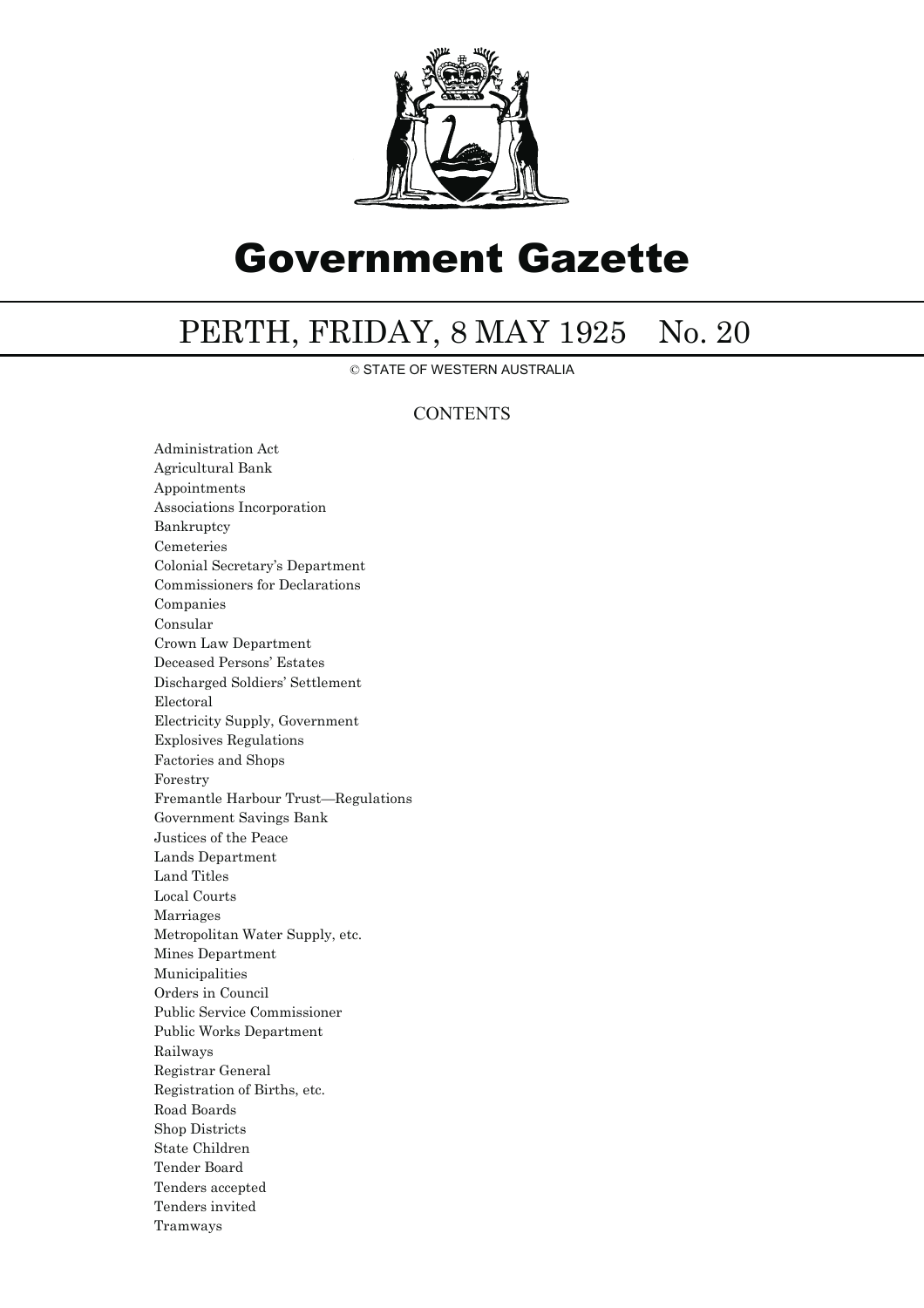

## Government Gazette

## PERTH, FRIDAY, 8 MAY 1925 No. 20

© STATE OF WESTERN AUSTRALIA

## **CONTENTS**

Administration Act Agricultural Bank Appointments Associations Incorporation Bankruptcy Cemeteries Colonial Secretary's Department Commissioners for Declarations Companies Consular Crown Law Department Deceased Persons' Estates Discharged Soldiers' Settlement Electoral Electricity Supply, Government Explosives Regulations Factories and Shops Forestry Fremantle Harbour Trust—Regulations Government Savings Bank Justices of the Peace Lands Department Land Titles Local Courts Marriages Metropolitan Water Supply, etc. Mines Department Municipalities Orders in Council Public Service Commissioner Public Works Department Railways Registrar General Registration of Births, etc. Road Boards Shop Districts State Children Tender Board Tenders accepted Tenders invited Tramways